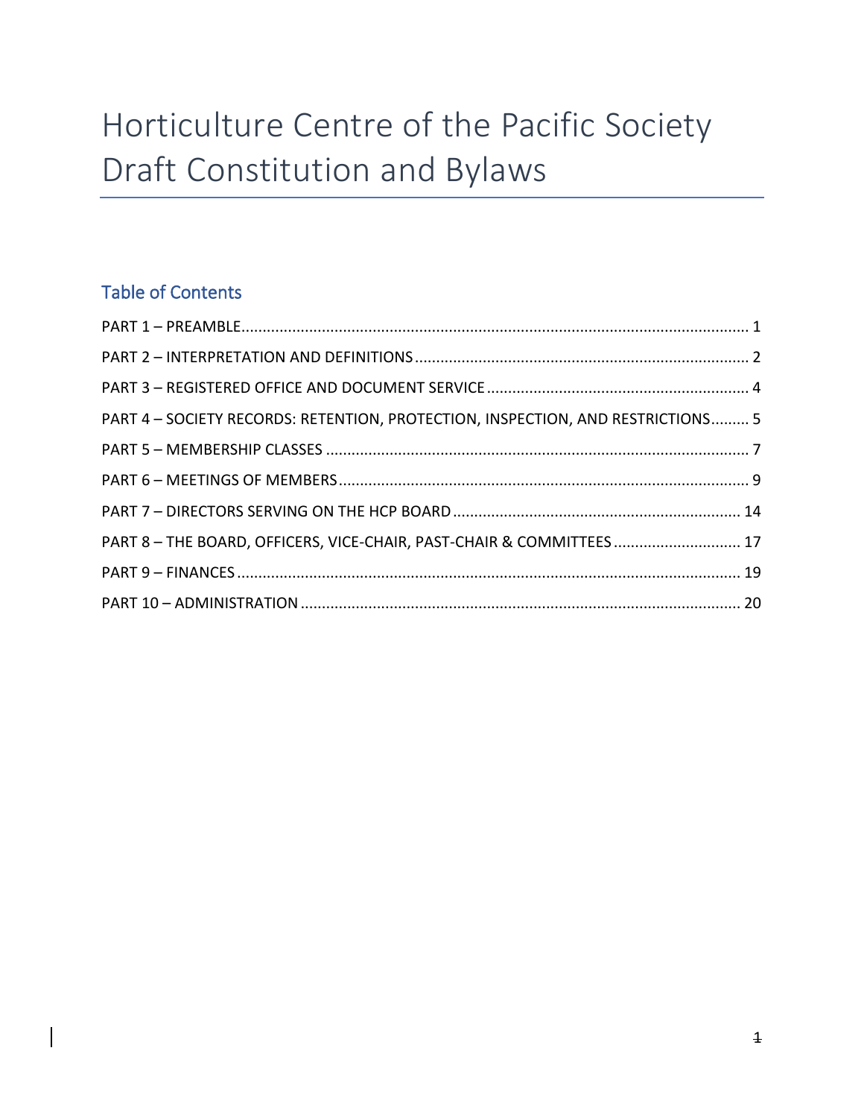# Horticulture Centre of the Pacific Society Draft Constitution and Bylaws

# Table of Contents

| PART 4 - SOCIETY RECORDS: RETENTION, PROTECTION, INSPECTION, AND RESTRICTIONS 5 |  |
|---------------------------------------------------------------------------------|--|
|                                                                                 |  |
|                                                                                 |  |
|                                                                                 |  |
| PART 8 - THE BOARD, OFFICERS, VICE-CHAIR, PAST-CHAIR & COMMITTEES 17            |  |
|                                                                                 |  |
|                                                                                 |  |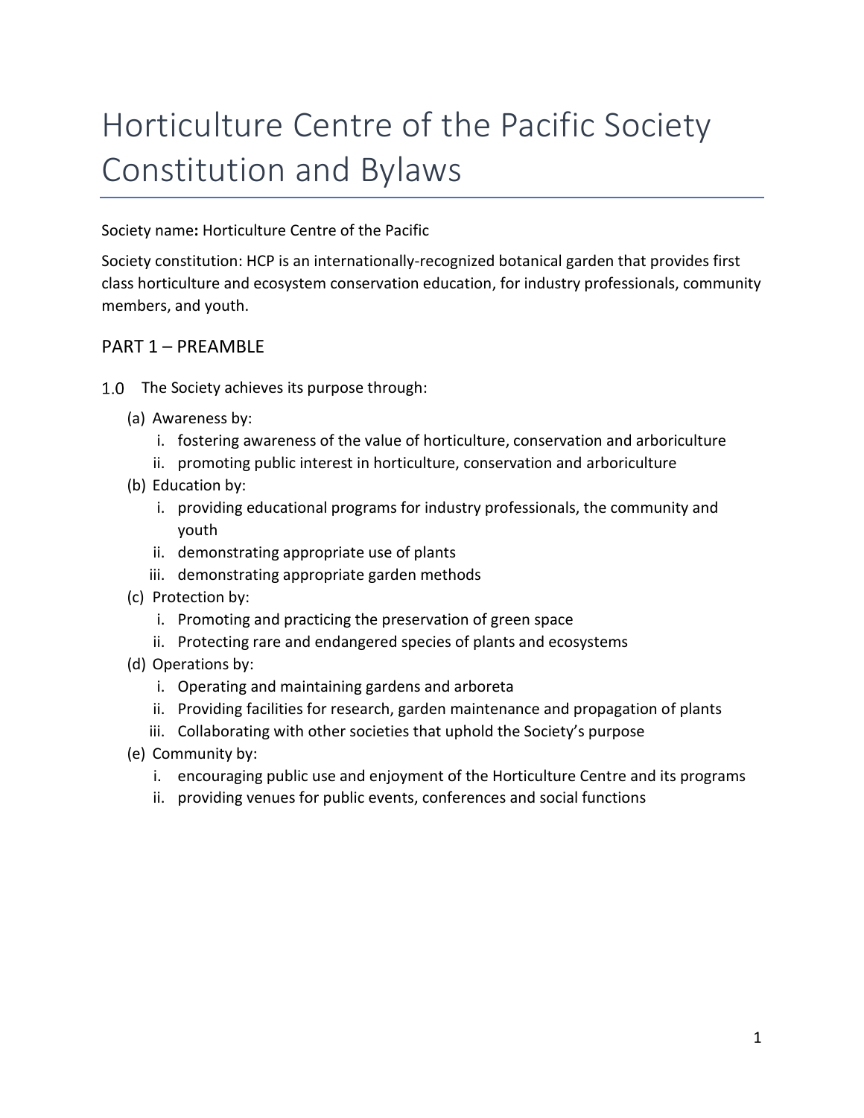# Horticulture Centre of the Pacific Society Constitution and Bylaws

Society name**:** Horticulture Centre of the Pacific

Society constitution: HCP is an internationally-recognized botanical garden that provides first class horticulture and ecosystem conservation education, for industry professionals, community members, and youth.

### <span id="page-1-0"></span>PART 1 – PREAMBLE

- 1.0 The Society achieves its purpose through:
	- (a) Awareness by:
		- i. fostering awareness of the value of horticulture, conservation and arboriculture
		- ii. promoting public interest in horticulture, conservation and arboriculture
	- (b) Education by:
		- i. providing educational programs for industry professionals, the community and youth
		- ii. demonstrating appropriate use of plants
		- iii. demonstrating appropriate garden methods
	- (c) Protection by:
		- i. Promoting and practicing the preservation of green space
		- ii. Protecting rare and endangered species of plants and ecosystems
	- (d) Operations by:
		- i. Operating and maintaining gardens and arboreta
		- ii. Providing facilities for research, garden maintenance and propagation of plants
		- iii. Collaborating with other societies that uphold the Society's purpose
	- (e) Community by:
		- i. encouraging public use and enjoyment of the Horticulture Centre and its programs
		- ii. providing venues for public events, conferences and social functions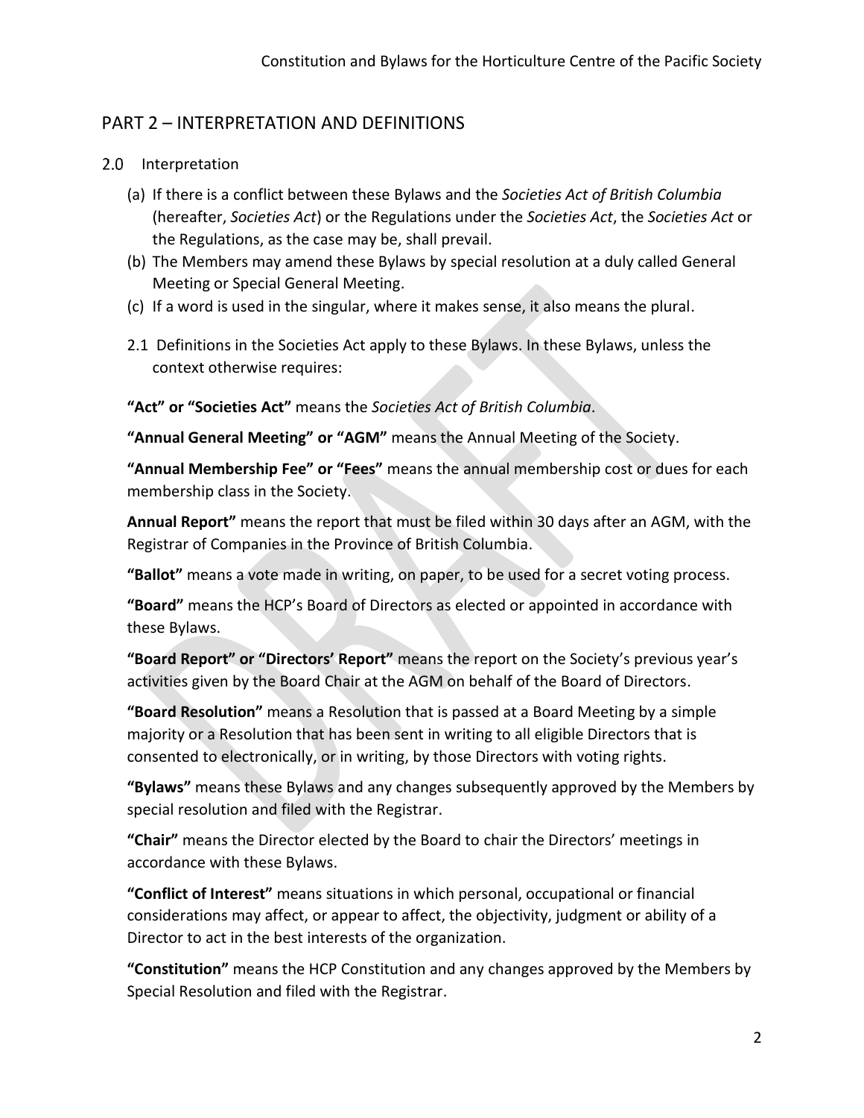### <span id="page-2-0"></span>PART 2 – INTERPRETATION AND DEFINITIONS

#### 2.0 Interpretation

- (a) If there is a conflict between these Bylaws and the *Societies Act of British Columbia* (hereafter, *Societies Act*) or the Regulations under the *Societies Act*, the *Societies Act* or the Regulations, as the case may be, shall prevail.
- (b) The Members may amend these Bylaws by special resolution at a duly called General Meeting or Special General Meeting.
- (c) If a word is used in the singular, where it makes sense, it also means the plural.
- 2.1 Definitions in the Societies Act apply to these Bylaws. In these Bylaws, unless the context otherwise requires:

**"Act" or "Societies Act"** means the *Societies Act of British Columbia*.

**"Annual General Meeting" or "AGM"** means the Annual Meeting of the Society.

**"Annual Membership Fee" or "Fees"** means the annual membership cost or dues for each membership class in the Society.

**Annual Report"** means the report that must be filed within 30 days after an AGM, with the Registrar of Companies in the Province of British Columbia.

**"Ballot"** means a vote made in writing, on paper, to be used for a secret voting process.

**"Board"** means the HCP's Board of Directors as elected or appointed in accordance with these Bylaws.

**"Board Report" or "Directors' Report"** means the report on the Society's previous year's activities given by the Board Chair at the AGM on behalf of the Board of Directors.

**"Board Resolution"** means a Resolution that is passed at a Board Meeting by a simple majority or a Resolution that has been sent in writing to all eligible Directors that is consented to electronically, or in writing, by those Directors with voting rights.

**"Bylaws"** means these Bylaws and any changes subsequently approved by the Members by special resolution and filed with the Registrar.

**"Chair"** means the Director elected by the Board to chair the Directors' meetings in accordance with these Bylaws.

**"Conflict of Interest"** means situations in which personal, occupational or financial considerations may affect, or appear to affect, the objectivity, judgment or ability of a Director to act in the best interests of the organization.

**"Constitution"** means the HCP Constitution and any changes approved by the Members by Special Resolution and filed with the Registrar.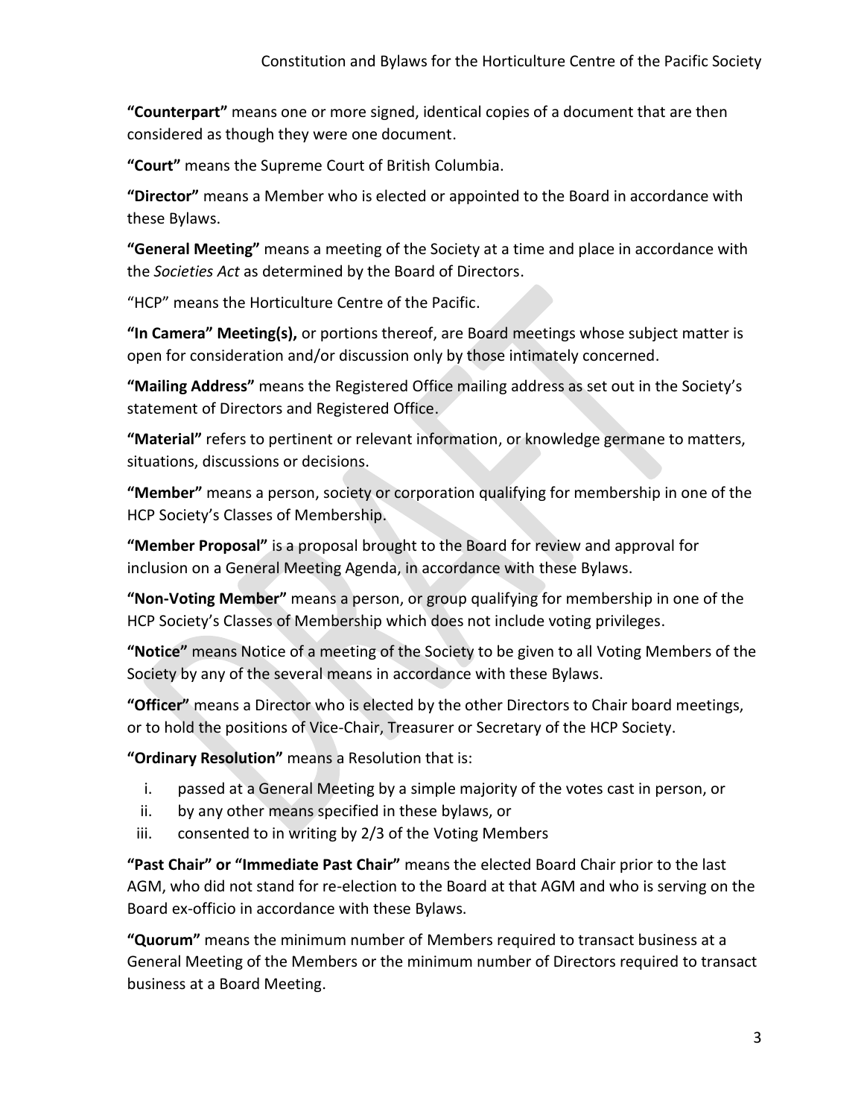**"Counterpart"** means one or more signed, identical copies of a document that are then considered as though they were one document.

**"Court"** means the Supreme Court of British Columbia.

**"Director"** means a Member who is elected or appointed to the Board in accordance with these Bylaws.

**"General Meeting"** means a meeting of the Society at a time and place in accordance with the *Societies Act* as determined by the Board of Directors.

"HCP" means the Horticulture Centre of the Pacific.

**"In Camera" Meeting(s),** or portions thereof, are Board meetings whose subject matter is open for consideration and/or discussion only by those intimately concerned.

**"Mailing Address"** means the Registered Office mailing address as set out in the Society's statement of Directors and Registered Office.

**"Material"** refers to pertinent or relevant information, or knowledge germane to matters, situations, discussions or decisions.

**"Member"** means a person, society or corporation qualifying for membership in one of the HCP Society's Classes of Membership.

**"Member Proposal"** is a proposal brought to the Board for review and approval for inclusion on a General Meeting Agenda, in accordance with these Bylaws.

**"Non-Voting Member"** means a person, or group qualifying for membership in one of the HCP Society's Classes of Membership which does not include voting privileges.

**"Notice"** means Notice of a meeting of the Society to be given to all Voting Members of the Society by any of the several means in accordance with these Bylaws.

**"Officer"** means a Director who is elected by the other Directors to Chair board meetings, or to hold the positions of Vice-Chair, Treasurer or Secretary of the HCP Society.

**"Ordinary Resolution"** means a Resolution that is:

- i. passed at a General Meeting by a simple majority of the votes cast in person, or
- ii. by any other means specified in these bylaws, or
- iii. consented to in writing by 2/3 of the Voting Members

**"Past Chair" or "Immediate Past Chair"** means the elected Board Chair prior to the last AGM, who did not stand for re-election to the Board at that AGM and who is serving on the Board ex-officio in accordance with these Bylaws.

**"Quorum"** means the minimum number of Members required to transact business at a General Meeting of the Members or the minimum number of Directors required to transact business at a Board Meeting.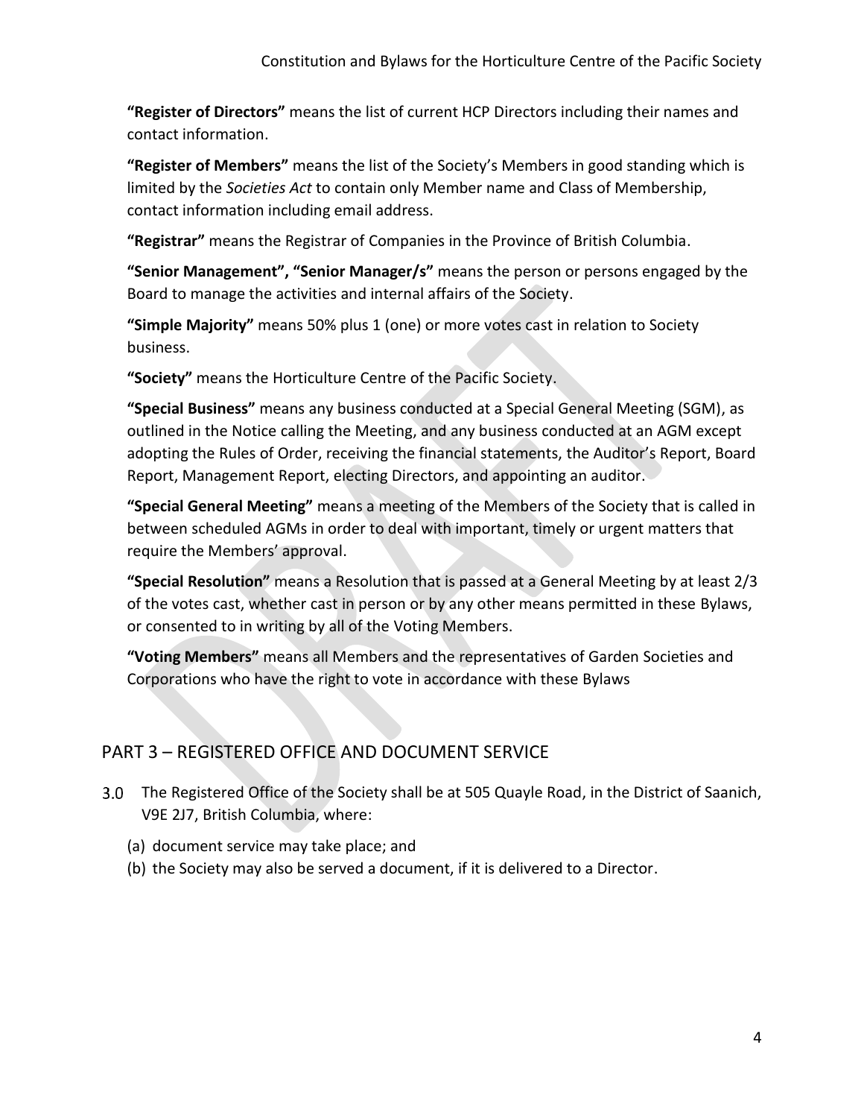**"Register of Directors"** means the list of current HCP Directors including their names and contact information.

**"Register of Members"** means the list of the Society's Members in good standing which is limited by the *Societies Act* to contain only Member name and Class of Membership, contact information including email address.

**"Registrar"** means the Registrar of Companies in the Province of British Columbia.

**"Senior Management", "Senior Manager/s"** means the person or persons engaged by the Board to manage the activities and internal affairs of the Society.

**"Simple Majority"** means 50% plus 1 (one) or more votes cast in relation to Society business.

**"Society"** means the Horticulture Centre of the Pacific Society.

**"Special Business"** means any business conducted at a Special General Meeting (SGM), as outlined in the Notice calling the Meeting, and any business conducted at an AGM except adopting the Rules of Order, receiving the financial statements, the Auditor's Report, Board Report, Management Report, electing Directors, and appointing an auditor.

**"Special General Meeting"** means a meeting of the Members of the Society that is called in between scheduled AGMs in order to deal with important, timely or urgent matters that require the Members' approval.

**"Special Resolution"** means a Resolution that is passed at a General Meeting by at least 2/3 of the votes cast, whether cast in person or by any other means permitted in these Bylaws, or consented to in writing by all of the Voting Members.

**"Voting Members"** means all Members and the representatives of Garden Societies and Corporations who have the right to vote in accordance with these Bylaws

## <span id="page-4-0"></span>PART 3 – REGISTERED OFFICE AND DOCUMENT SERVICE

- The Registered Office of the Society shall be at 505 Quayle Road, in the District of Saanich, V9E 2J7, British Columbia, where:
	- (a) document service may take place; and
	- (b) the Society may also be served a document, if it is delivered to a Director.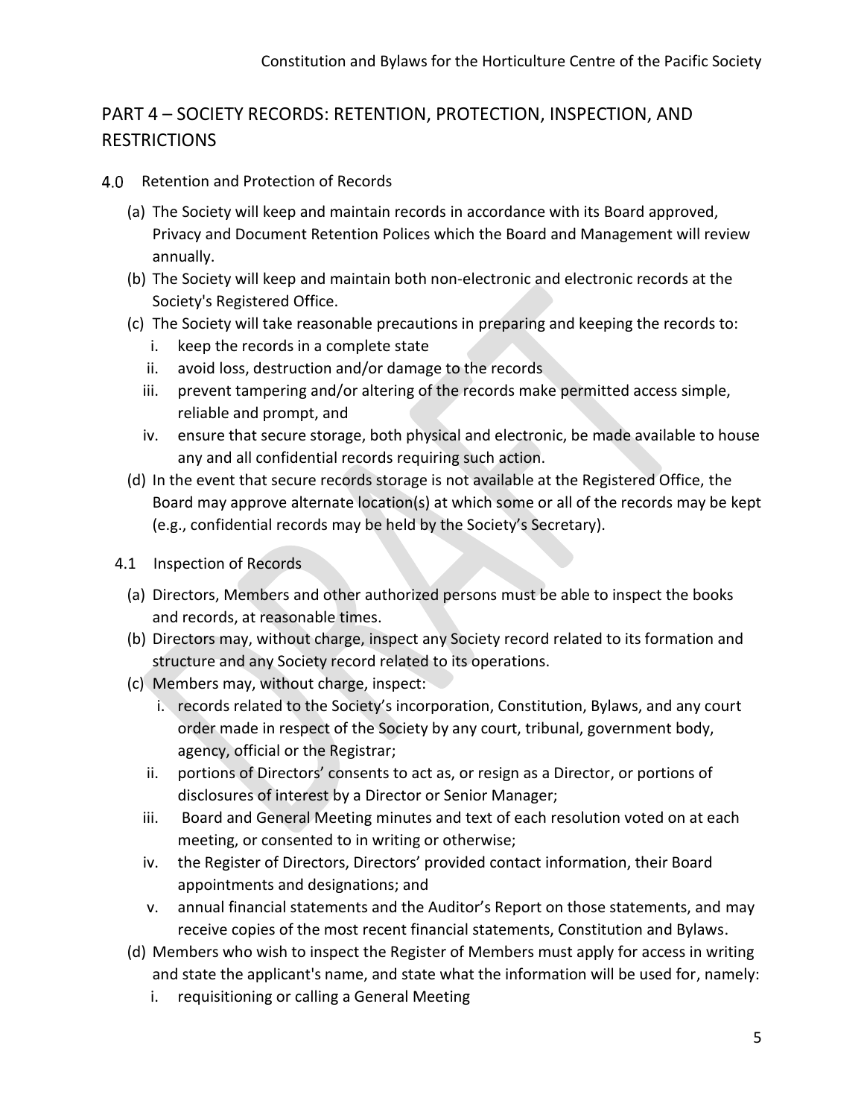# <span id="page-5-0"></span>PART 4 – SOCIETY RECORDS: RETENTION, PROTECTION, INSPECTION, AND RESTRICTIONS

- 4.0 Retention and Protection of Records
	- (a) The Society will keep and maintain records in accordance with its Board approved, Privacy and Document Retention Polices which the Board and Management will review annually.
	- (b) The Society will keep and maintain both non-electronic and electronic records at the Society's Registered Office.
	- (c) The Society will take reasonable precautions in preparing and keeping the records to:
		- i. keep the records in a complete state
		- ii. avoid loss, destruction and/or damage to the records
		- iii. prevent tampering and/or altering of the records make permitted access simple, reliable and prompt, and
		- iv. ensure that secure storage, both physical and electronic, be made available to house any and all confidential records requiring such action.
	- (d) In the event that secure records storage is not available at the Registered Office, the Board may approve alternate location(s) at which some or all of the records may be kept (e.g., confidential records may be held by the Society's Secretary).
	- 4.1 Inspection of Records
		- (a) Directors, Members and other authorized persons must be able to inspect the books and records, at reasonable times.
		- (b) Directors may, without charge, inspect any Society record related to its formation and structure and any Society record related to its operations.
		- (c) Members may, without charge, inspect:
			- i. records related to the Society's incorporation, Constitution, Bylaws, and any court order made in respect of the Society by any court, tribunal, government body, agency, official or the Registrar;
			- ii. portions of Directors' consents to act as, or resign as a Director, or portions of disclosures of interest by a Director or Senior Manager;
			- iii. Board and General Meeting minutes and text of each resolution voted on at each meeting, or consented to in writing or otherwise;
			- iv. the Register of Directors, Directors' provided contact information, their Board appointments and designations; and
			- v. annual financial statements and the Auditor's Report on those statements, and may receive copies of the most recent financial statements, Constitution and Bylaws.
		- (d) Members who wish to inspect the Register of Members must apply for access in writing and state the applicant's name, and state what the information will be used for, namely:
			- i. requisitioning or calling a General Meeting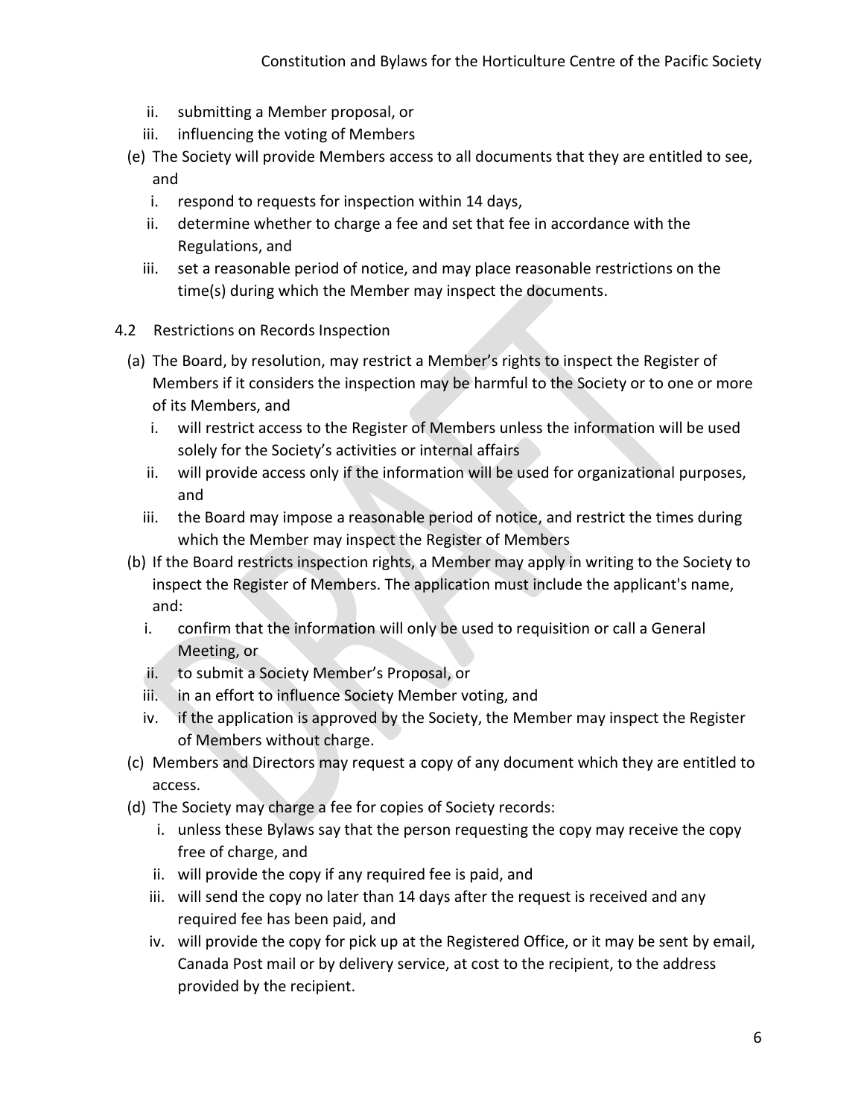- ii. submitting a Member proposal, or
- iii. influencing the voting of Members
- (e) The Society will provide Members access to all documents that they are entitled to see, and
	- i. respond to requests for inspection within 14 days,
	- ii. determine whether to charge a fee and set that fee in accordance with the Regulations, and
	- iii. set a reasonable period of notice, and may place reasonable restrictions on the time(s) during which the Member may inspect the documents.
- 4.2 Restrictions on Records Inspection
	- (a) The Board, by resolution, may restrict a Member's rights to inspect the Register of Members if it considers the inspection may be harmful to the Society or to one or more of its Members, and
		- i. will restrict access to the Register of Members unless the information will be used solely for the Society's activities or internal affairs
		- ii. will provide access only if the information will be used for organizational purposes, and
		- iii. the Board may impose a reasonable period of notice, and restrict the times during which the Member may inspect the Register of Members
	- (b) If the Board restricts inspection rights, a Member may apply in writing to the Society to inspect the Register of Members. The application must include the applicant's name, and:
		- i. confirm that the information will only be used to requisition or call a General Meeting, or
		- ii. to submit a Society Member's Proposal, or
		- iii. in an effort to influence Society Member voting, and
		- iv. if the application is approved by the Society, the Member may inspect the Register of Members without charge.
	- (c) Members and Directors may request a copy of any document which they are entitled to access.
	- (d) The Society may charge a fee for copies of Society records:
		- i. unless these Bylaws say that the person requesting the copy may receive the copy free of charge, and
		- ii. will provide the copy if any required fee is paid, and
		- iii. will send the copy no later than 14 days after the request is received and any required fee has been paid, and
		- iv. will provide the copy for pick up at the Registered Office, or it may be sent by email, Canada Post mail or by delivery service, at cost to the recipient, to the address provided by the recipient.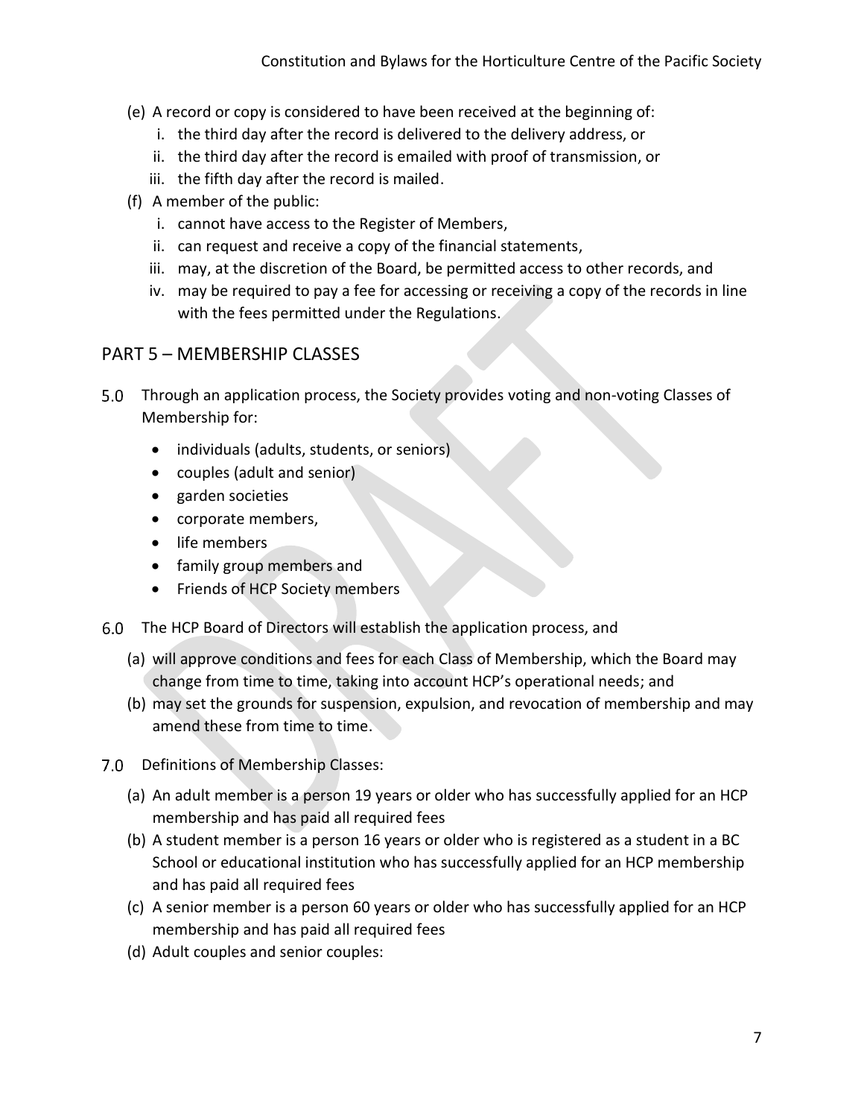- (e) A record or copy is considered to have been received at the beginning of:
	- i. the third day after the record is delivered to the delivery address, or
	- ii. the third day after the record is emailed with proof of transmission, or
	- iii. the fifth day after the record is mailed.
- (f) A member of the public:
	- i. cannot have access to the Register of Members,
	- ii. can request and receive a copy of the financial statements,
	- iii. may, at the discretion of the Board, be permitted access to other records, and
	- iv. may be required to pay a fee for accessing or receiving a copy of the records in line with the fees permitted under the Regulations.

#### <span id="page-7-0"></span>PART 5 – MEMBERSHIP CLASSES

- 5.0 Through an application process, the Society provides voting and non-voting Classes of Membership for:
	- individuals (adults, students, or seniors)
	- couples (adult and senior)
	- garden societies
	- corporate members,
	- life members
	- family group members and
	- Friends of HCP Society members
- The HCP Board of Directors will establish the application process, and
	- (a) will approve conditions and fees for each Class of Membership, which the Board may change from time to time, taking into account HCP's operational needs; and
	- (b) may set the grounds for suspension, expulsion, and revocation of membership and may amend these from time to time.
- 7.0 Definitions of Membership Classes:
	- (a) An adult member is a person 19 years or older who has successfully applied for an HCP membership and has paid all required fees
	- (b) A student member is a person 16 years or older who is registered as a student in a BC School or educational institution who has successfully applied for an HCP membership and has paid all required fees
	- (c) A senior member is a person 60 years or older who has successfully applied for an HCP membership and has paid all required fees
	- (d) Adult couples and senior couples: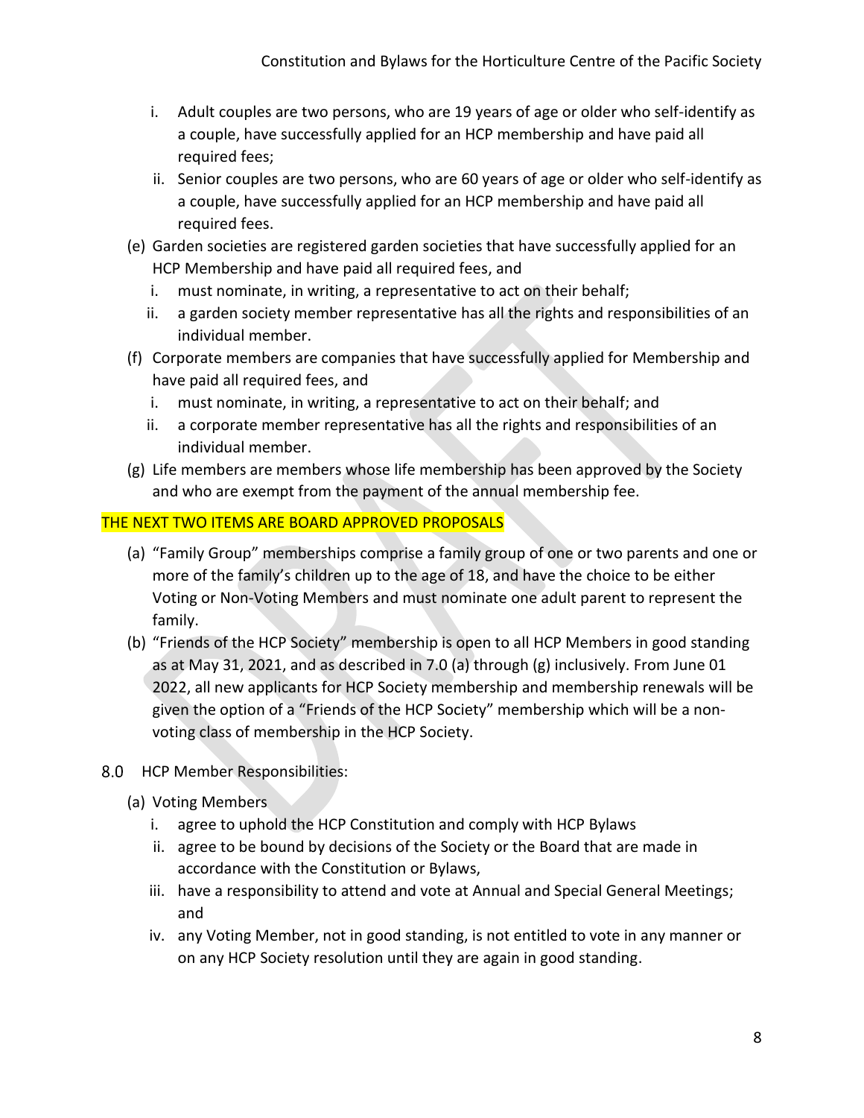- i. Adult couples are two persons, who are 19 years of age or older who self-identify as a couple, have successfully applied for an HCP membership and have paid all required fees;
- ii. Senior couples are two persons, who are 60 years of age or older who self-identify as a couple, have successfully applied for an HCP membership and have paid all required fees.
- (e) Garden societies are registered garden societies that have successfully applied for an HCP Membership and have paid all required fees, and
	- i. must nominate, in writing, a representative to act on their behalf;
	- ii. a garden society member representative has all the rights and responsibilities of an individual member.
- (f) Corporate members are companies that have successfully applied for Membership and have paid all required fees, and
	- i. must nominate, in writing, a representative to act on their behalf; and
	- ii. a corporate member representative has all the rights and responsibilities of an individual member.
- (g) Life members are members whose life membership has been approved by the Society and who are exempt from the payment of the annual membership fee.

### THE NEXT TWO ITEMS ARE BOARD APPROVED PROPOSALS

- (a) "Family Group" memberships comprise a family group of one or two parents and one or more of the family's children up to the age of 18, and have the choice to be either Voting or Non-Voting Members and must nominate one adult parent to represent the family.
- (b) "Friends of the HCP Society" membership is open to all HCP Members in good standing as at May 31, 2021, and as described in 7.0 (a) through (g) inclusively. From June 01 2022, all new applicants for HCP Society membership and membership renewals will be given the option of a "Friends of the HCP Society" membership which will be a nonvoting class of membership in the HCP Society.
- 8.0 HCP Member Responsibilities:
	- (a) Voting Members
		- i. agree to uphold the HCP Constitution and comply with HCP Bylaws
		- ii. agree to be bound by decisions of the Society or the Board that are made in accordance with the Constitution or Bylaws,
		- iii. have a responsibility to attend and vote at Annual and Special General Meetings; and
		- iv. any Voting Member, not in good standing, is not entitled to vote in any manner or on any HCP Society resolution until they are again in good standing.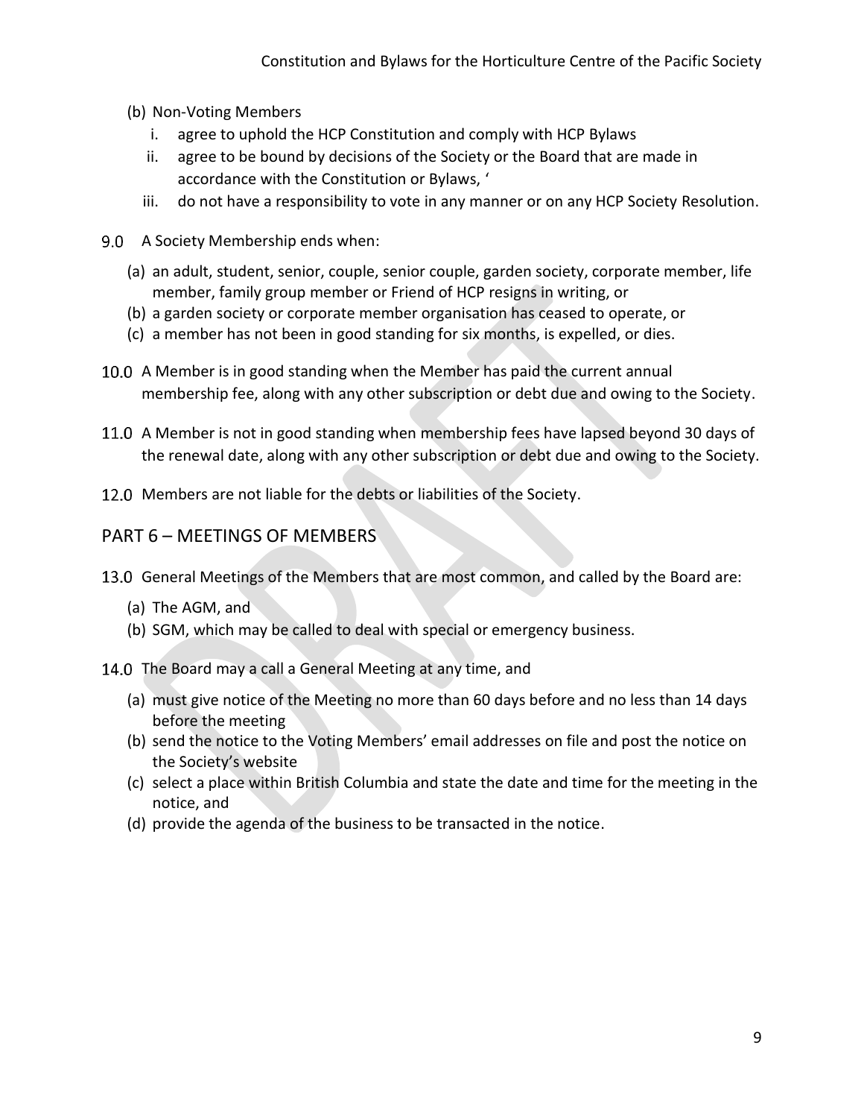- (b) Non-Voting Members
	- i. agree to uphold the HCP Constitution and comply with HCP Bylaws
	- ii. agree to be bound by decisions of the Society or the Board that are made in accordance with the Constitution or Bylaws, '
	- iii. do not have a responsibility to vote in any manner or on any HCP Society Resolution.
- 9.0 A Society Membership ends when:
	- (a) an adult, student, senior, couple, senior couple, garden society, corporate member, life member, family group member or Friend of HCP resigns in writing, or
	- (b) a garden society or corporate member organisation has ceased to operate, or
	- (c) a member has not been in good standing for six months, is expelled, or dies.
- 10.0 A Member is in good standing when the Member has paid the current annual membership fee, along with any other subscription or debt due and owing to the Society.
- 11.0 A Member is not in good standing when membership fees have lapsed beyond 30 days of the renewal date, along with any other subscription or debt due and owing to the Society.
- 12.0 Members are not liable for the debts or liabilities of the Society.

#### <span id="page-9-0"></span>PART 6 – MEETINGS OF MEMBERS

- 13.0 General Meetings of the Members that are most common, and called by the Board are:
	- (a) The AGM, and
	- (b) SGM, which may be called to deal with special or emergency business.
- 14.0 The Board may a call a General Meeting at any time, and
	- (a) must give notice of the Meeting no more than 60 days before and no less than 14 days before the meeting
	- (b) send the notice to the Voting Members' email addresses on file and post the notice on the Society's website
	- (c) select a place within British Columbia and state the date and time for the meeting in the notice, and
	- (d) provide the agenda of the business to be transacted in the notice.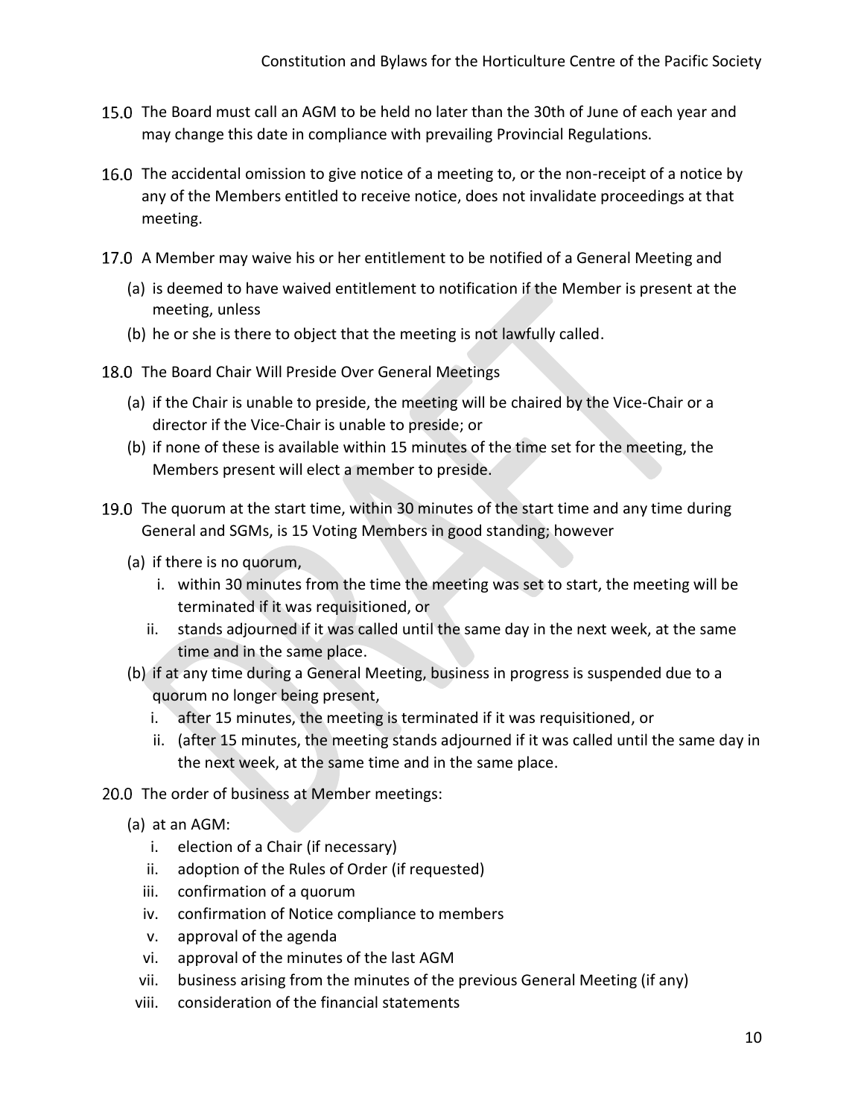- 15.0 The Board must call an AGM to be held no later than the 30th of June of each year and may change this date in compliance with prevailing Provincial Regulations.
- 16.0 The accidental omission to give notice of a meeting to, or the non-receipt of a notice by any of the Members entitled to receive notice, does not invalidate proceedings at that meeting.
- 17.0 A Member may waive his or her entitlement to be notified of a General Meeting and
	- (a) is deemed to have waived entitlement to notification if the Member is present at the meeting, unless
	- (b) he or she is there to object that the meeting is not lawfully called.
- 18.0 The Board Chair Will Preside Over General Meetings
	- (a) if the Chair is unable to preside, the meeting will be chaired by the Vice-Chair or a director if the Vice-Chair is unable to preside; or
	- (b) if none of these is available within 15 minutes of the time set for the meeting, the Members present will elect a member to preside.
- 19.0 The quorum at the start time, within 30 minutes of the start time and any time during General and SGMs, is 15 Voting Members in good standing; however
	- (a) if there is no quorum,
		- i. within 30 minutes from the time the meeting was set to start, the meeting will be terminated if it was requisitioned, or
		- ii. stands adjourned if it was called until the same day in the next week, at the same time and in the same place.
	- (b) if at any time during a General Meeting, business in progress is suspended due to a quorum no longer being present,
		- i. after 15 minutes, the meeting is terminated if it was requisitioned, or
		- ii. (after 15 minutes, the meeting stands adjourned if it was called until the same day in the next week, at the same time and in the same place.
- 20.0 The order of business at Member meetings:
	- (a) at an AGM:
		- i. election of a Chair (if necessary)
		- ii. adoption of the Rules of Order (if requested)
		- iii. confirmation of a quorum
		- iv. confirmation of Notice compliance to members
		- v. approval of the agenda
		- vi. approval of the minutes of the last AGM
		- vii. business arising from the minutes of the previous General Meeting (if any)
	- viii. consideration of the financial statements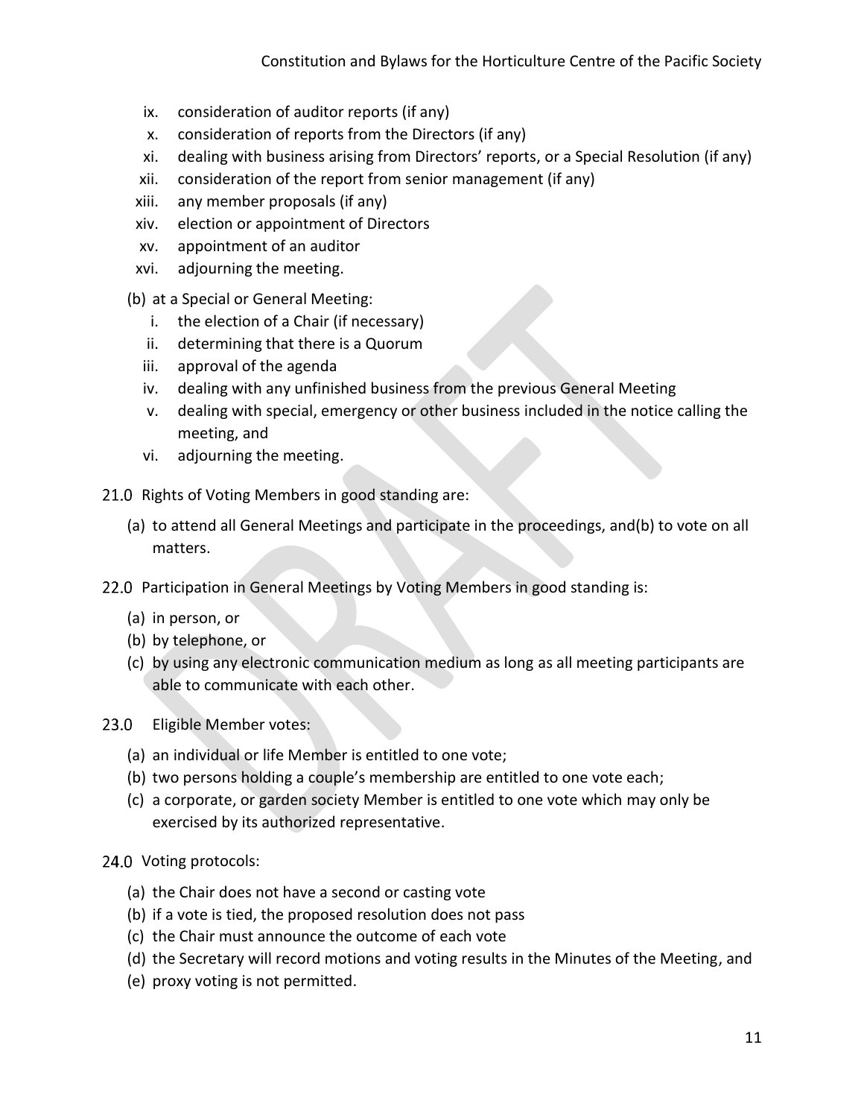- ix. consideration of auditor reports (if any)
- x. consideration of reports from the Directors (if any)
- xi. dealing with business arising from Directors' reports, or a Special Resolution (if any)
- xii. consideration of the report from senior management (if any)
- xiii. any member proposals (if any)
- xiv. election or appointment of Directors
- xv. appointment of an auditor
- xvi. adjourning the meeting.
- (b) at a Special or General Meeting:
	- i. the election of a Chair (if necessary)
	- ii. determining that there is a Quorum
	- iii. approval of the agenda
	- iv. dealing with any unfinished business from the previous General Meeting
	- v. dealing with special, emergency or other business included in the notice calling the meeting, and
	- vi. adjourning the meeting.
- 21.0 Rights of Voting Members in good standing are:
	- (a) to attend all General Meetings and participate in the proceedings, and(b) to vote on all matters.
- 22.0 Participation in General Meetings by Voting Members in good standing is:
	- (a) in person, or
	- (b) by telephone, or
	- (c) by using any electronic communication medium as long as all meeting participants are able to communicate with each other.
- $23.0$ Eligible Member votes:
	- (a) an individual or life Member is entitled to one vote;
	- (b) two persons holding a couple's membership are entitled to one vote each;
	- (c) a corporate, or garden society Member is entitled to one vote which may only be exercised by its authorized representative.

#### 24.0 Voting protocols:

- (a) the Chair does not have a second or casting vote
- (b) if a vote is tied, the proposed resolution does not pass
- (c) the Chair must announce the outcome of each vote
- (d) the Secretary will record motions and voting results in the Minutes of the Meeting, and
- (e) proxy voting is not permitted.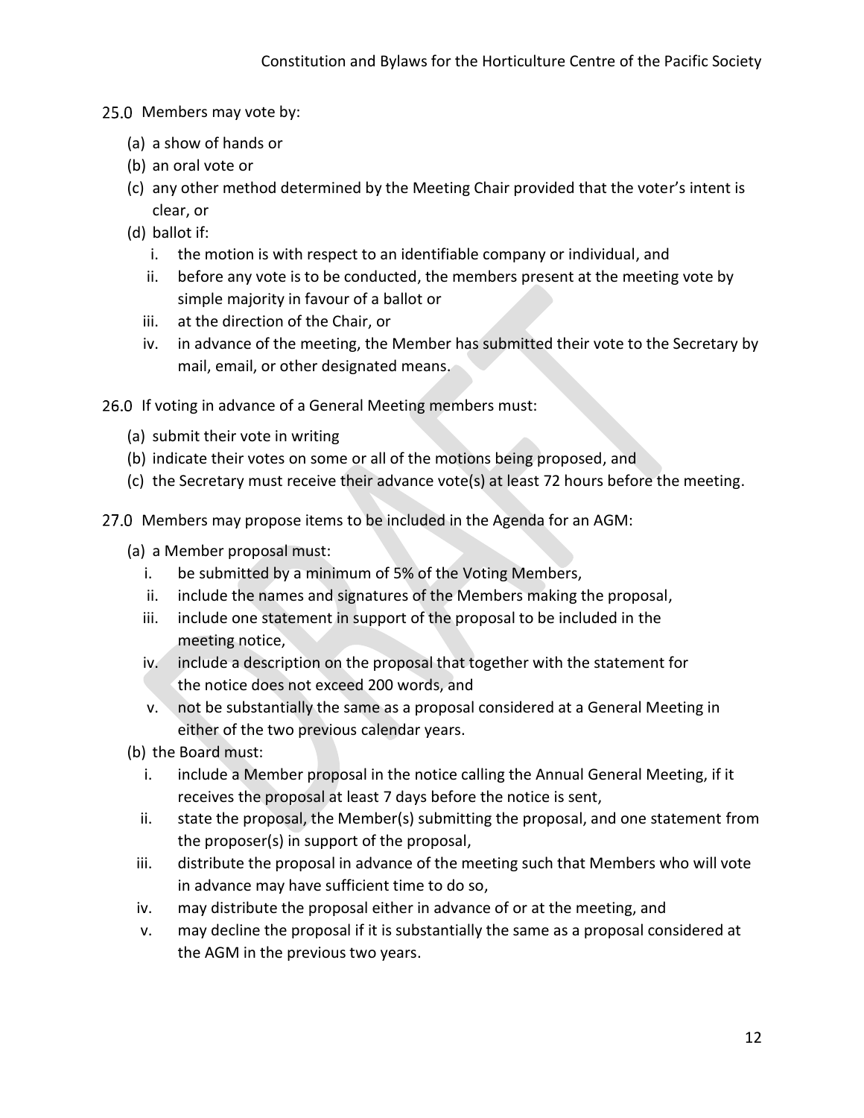- 25.0 Members may vote by:
	- (a) a show of hands or
	- (b) an oral vote or
	- (c) any other method determined by the Meeting Chair provided that the voter's intent is clear, or
	- (d) ballot if:
		- i. the motion is with respect to an identifiable company or individual, and
		- ii. before any vote is to be conducted, the members present at the meeting vote by simple majority in favour of a ballot or
		- iii. at the direction of the Chair, or
		- iv. in advance of the meeting, the Member has submitted their vote to the Secretary by mail, email, or other designated means.
- 26.0 If voting in advance of a General Meeting members must:
	- (a) submit their vote in writing
	- (b) indicate their votes on some or all of the motions being proposed, and
	- (c) the Secretary must receive their advance vote(s) at least 72 hours before the meeting.
- 27.0 Members may propose items to be included in the Agenda for an AGM:
	- (a) a Member proposal must:
		- i. be submitted by a minimum of 5% of the Voting Members,
		- ii. include the names and signatures of the Members making the proposal,
		- iii. include one statement in support of the proposal to be included in the meeting notice,
		- iv. include a description on the proposal that together with the statement for the notice does not exceed 200 words, and
		- v. not be substantially the same as a proposal considered at a General Meeting in either of the two previous calendar years.
	- (b) the Board must:
		- i. include a Member proposal in the notice calling the Annual General Meeting, if it receives the proposal at least 7 days before the notice is sent,
		- ii. state the proposal, the Member(s) submitting the proposal, and one statement from the proposer(s) in support of the proposal,
	- iii. distribute the proposal in advance of the meeting such that Members who will vote in advance may have sufficient time to do so,
	- iv. may distribute the proposal either in advance of or at the meeting, and
	- v. may decline the proposal if it is substantially the same as a proposal considered at the AGM in the previous two years.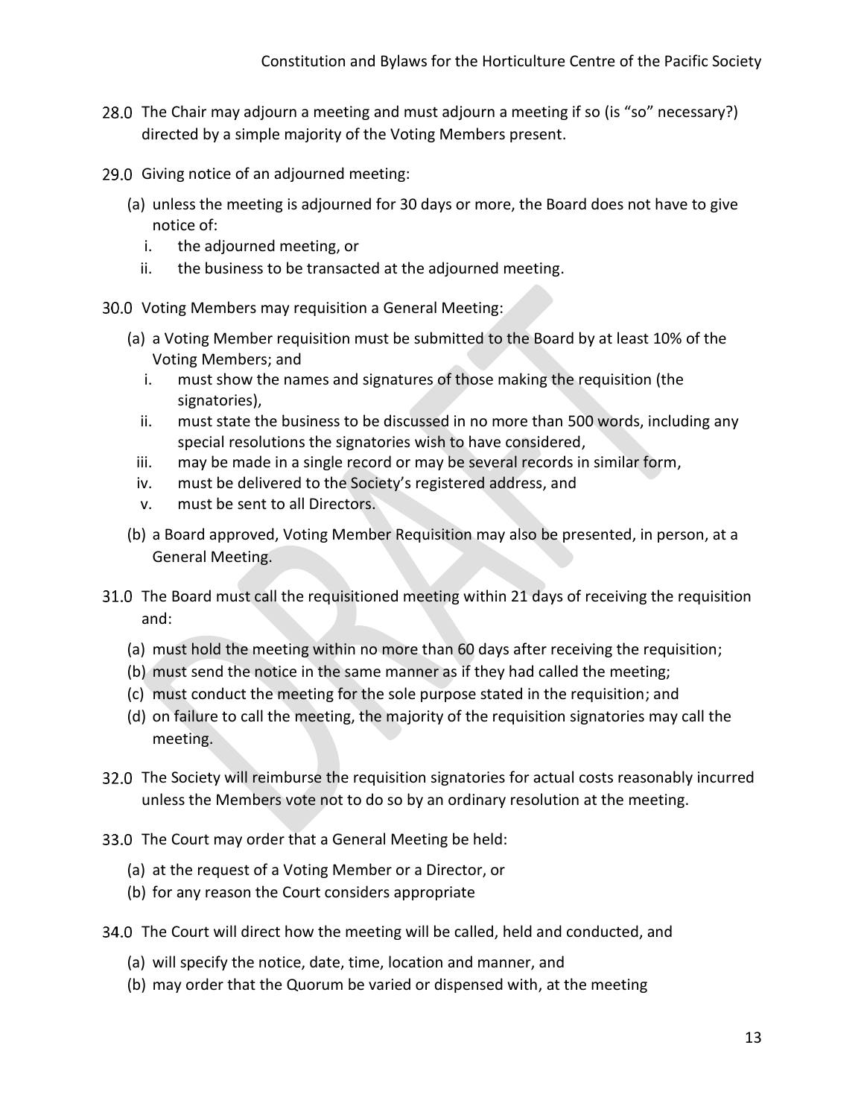- 28.0 The Chair may adjourn a meeting and must adjourn a meeting if so (is "so" necessary?) directed by a simple majority of the Voting Members present.
- 29.0 Giving notice of an adjourned meeting:
	- (a) unless the meeting is adjourned for 30 days or more, the Board does not have to give notice of:
		- i. the adjourned meeting, or
		- ii. the business to be transacted at the adjourned meeting.

30.0 Voting Members may requisition a General Meeting:

- (a) a Voting Member requisition must be submitted to the Board by at least 10% of the Voting Members; and
	- i. must show the names and signatures of those making the requisition (the signatories),
	- ii. must state the business to be discussed in no more than 500 words, including any special resolutions the signatories wish to have considered,
	- iii. may be made in a single record or may be several records in similar form,
	- iv. must be delivered to the Society's registered address, and
	- v. must be sent to all Directors.
- (b) a Board approved, Voting Member Requisition may also be presented, in person, at a General Meeting.
- 31.0 The Board must call the requisitioned meeting within 21 days of receiving the requisition and:
	- (a) must hold the meeting within no more than 60 days after receiving the requisition;
	- (b) must send the notice in the same manner as if they had called the meeting;
	- (c) must conduct the meeting for the sole purpose stated in the requisition; and
	- (d) on failure to call the meeting, the majority of the requisition signatories may call the meeting.
- 32.0 The Society will reimburse the requisition signatories for actual costs reasonably incurred unless the Members vote not to do so by an ordinary resolution at the meeting.
- 33.0 The Court may order that a General Meeting be held:
	- (a) at the request of a Voting Member or a Director, or
	- (b) for any reason the Court considers appropriate
- 34.0 The Court will direct how the meeting will be called, held and conducted, and
	- (a) will specify the notice, date, time, location and manner, and
	- (b) may order that the Quorum be varied or dispensed with, at the meeting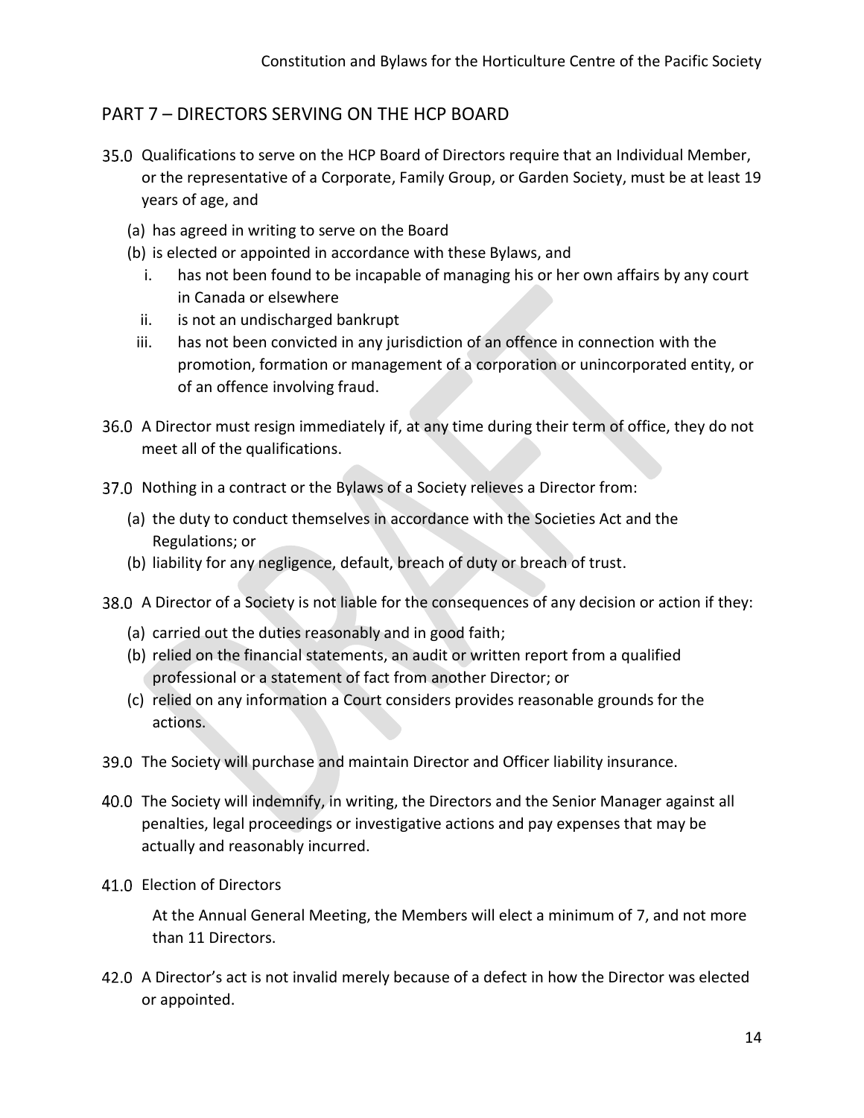## <span id="page-14-0"></span>PART 7 – DIRECTORS SERVING ON THE HCP BOARD

- 35.0 Qualifications to serve on the HCP Board of Directors require that an Individual Member, or the representative of a Corporate, Family Group, or Garden Society, must be at least 19 years of age, and
	- (a) has agreed in writing to serve on the Board
	- (b) is elected or appointed in accordance with these Bylaws, and
		- i. has not been found to be incapable of managing his or her own affairs by any court in Canada or elsewhere
		- ii. is not an undischarged bankrupt
	- iii. has not been convicted in any jurisdiction of an offence in connection with the promotion, formation or management of a corporation or unincorporated entity, or of an offence involving fraud.
- 36.0 A Director must resign immediately if, at any time during their term of office, they do not meet all of the qualifications.
- 37.0 Nothing in a contract or the Bylaws of a Society relieves a Director from:
	- (a) the duty to conduct themselves in accordance with the Societies Act and the Regulations; or
	- (b) liability for any negligence, default, breach of duty or breach of trust.
- A Director of a Society is not liable for the consequences of any decision or action if they:
	- (a) carried out the duties reasonably and in good faith;
	- (b) relied on the financial statements, an audit or written report from a qualified professional or a statement of fact from another Director; or
	- (c) relied on any information a Court considers provides reasonable grounds for the actions.
- 39.0 The Society will purchase and maintain Director and Officer liability insurance.
- 40.0 The Society will indemnify, in writing, the Directors and the Senior Manager against all penalties, legal proceedings or investigative actions and pay expenses that may be actually and reasonably incurred.
- 41.0 Election of Directors

At the Annual General Meeting, the Members will elect a minimum of 7, and not more than 11 Directors.

A Director's act is not invalid merely because of a defect in how the Director was elected or appointed.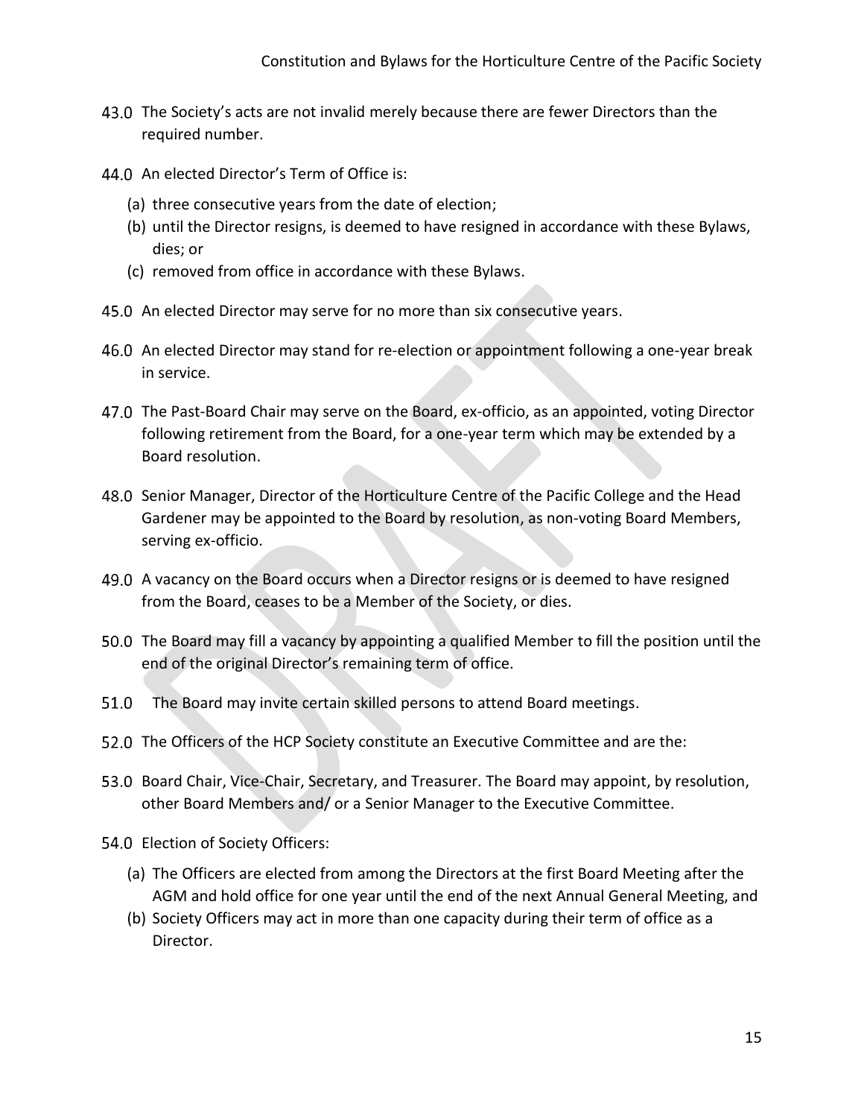- 43.0 The Society's acts are not invalid merely because there are fewer Directors than the required number.
- 44.0 An elected Director's Term of Office is:
	- (a) three consecutive years from the date of election;
	- (b) until the Director resigns, is deemed to have resigned in accordance with these Bylaws, dies; or
	- (c) removed from office in accordance with these Bylaws.
- 45.0 An elected Director may serve for no more than six consecutive years.
- 46.0 An elected Director may stand for re-election or appointment following a one-year break in service.
- 47.0 The Past-Board Chair may serve on the Board, ex-officio, as an appointed, voting Director following retirement from the Board, for a one-year term which may be extended by a Board resolution.
- 48.0 Senior Manager, Director of the Horticulture Centre of the Pacific College and the Head Gardener may be appointed to the Board by resolution, as non-voting Board Members, serving ex-officio.
- A vacancy on the Board occurs when a Director resigns or is deemed to have resigned from the Board, ceases to be a Member of the Society, or dies.
- 50.0 The Board may fill a vacancy by appointing a qualified Member to fill the position until the end of the original Director's remaining term of office.
- 51.0 The Board may invite certain skilled persons to attend Board meetings.
- 52.0 The Officers of the HCP Society constitute an Executive Committee and are the:
- 53.0 Board Chair, Vice-Chair, Secretary, and Treasurer. The Board may appoint, by resolution, other Board Members and/ or a Senior Manager to the Executive Committee.
- 54.0 Election of Society Officers:
	- (a) The Officers are elected from among the Directors at the first Board Meeting after the AGM and hold office for one year until the end of the next Annual General Meeting, and
	- (b) Society Officers may act in more than one capacity during their term of office as a Director.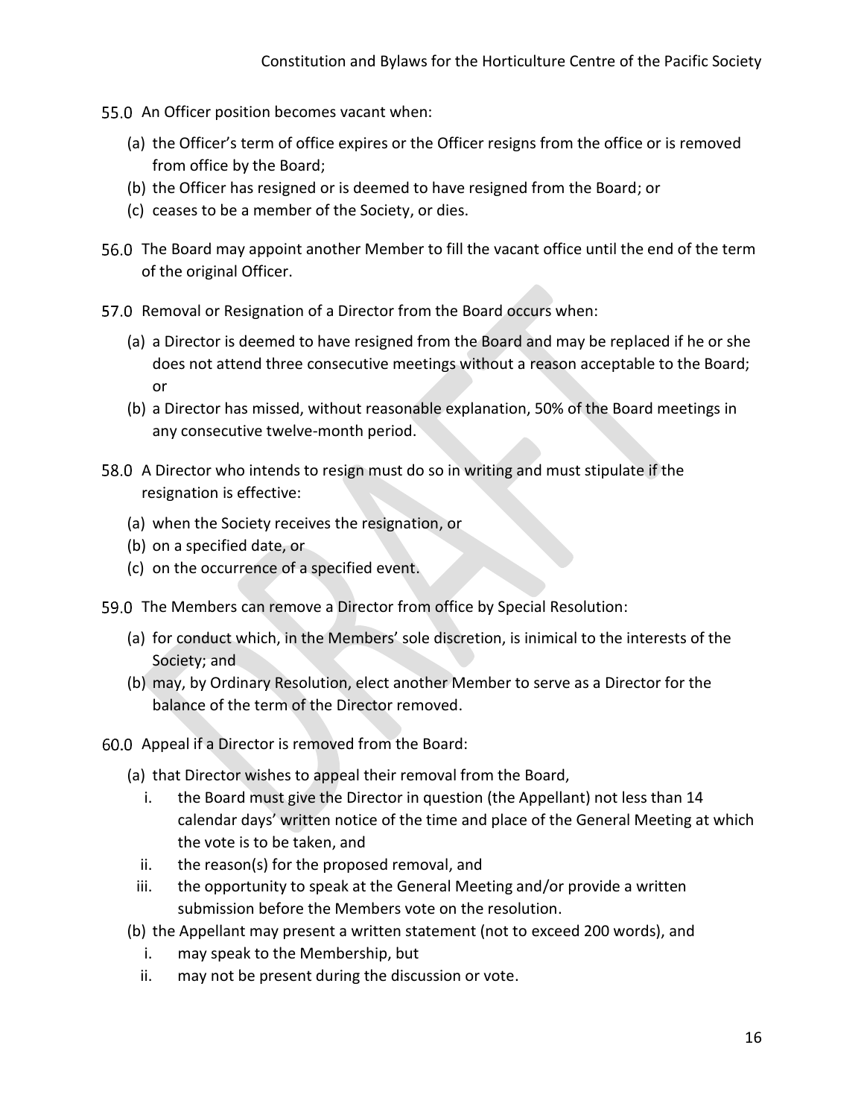- 55.0 An Officer position becomes vacant when:
	- (a) the Officer's term of office expires or the Officer resigns from the office or is removed from office by the Board;
	- (b) the Officer has resigned or is deemed to have resigned from the Board; or
	- (c) ceases to be a member of the Society, or dies.
- 56.0 The Board may appoint another Member to fill the vacant office until the end of the term of the original Officer.
- 57.0 Removal or Resignation of a Director from the Board occurs when:
	- (a) a Director is deemed to have resigned from the Board and may be replaced if he or she does not attend three consecutive meetings without a reason acceptable to the Board; or
	- (b) a Director has missed, without reasonable explanation, 50% of the Board meetings in any consecutive twelve-month period.
- 58.0 A Director who intends to resign must do so in writing and must stipulate if the resignation is effective:
	- (a) when the Society receives the resignation, or
	- (b) on a specified date, or
	- (c) on the occurrence of a specified event.
- 59.0 The Members can remove a Director from office by Special Resolution:
	- (a) for conduct which, in the Members' sole discretion, is inimical to the interests of the Society; and
	- (b) may, by Ordinary Resolution, elect another Member to serve as a Director for the balance of the term of the Director removed.
- 60.0 Appeal if a Director is removed from the Board:
	- (a) that Director wishes to appeal their removal from the Board,
		- i. the Board must give the Director in question (the Appellant) not less than 14 calendar days' written notice of the time and place of the General Meeting at which the vote is to be taken, and
		- ii. the reason(s) for the proposed removal, and
	- iii. the opportunity to speak at the General Meeting and/or provide a written submission before the Members vote on the resolution.
	- (b) the Appellant may present a written statement (not to exceed 200 words), and
		- i. may speak to the Membership, but
		- ii. may not be present during the discussion or vote.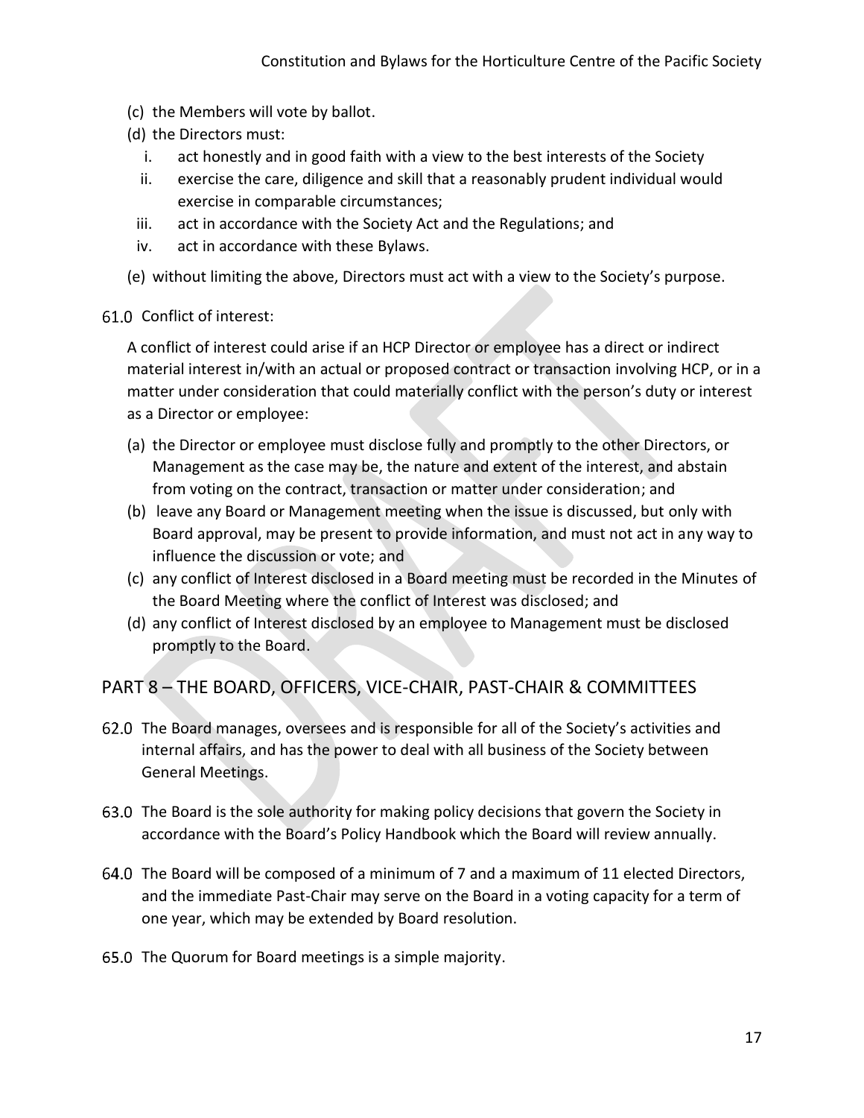- (c) the Members will vote by ballot.
- (d) the Directors must:
	- i. act honestly and in good faith with a view to the best interests of the Society
	- ii. exercise the care, diligence and skill that a reasonably prudent individual would exercise in comparable circumstances;
- iii. act in accordance with the Society Act and the Regulations; and
- iv. act in accordance with these Bylaws.

(e) without limiting the above, Directors must act with a view to the Society's purpose.

#### 61.0 Conflict of interest:

A conflict of interest could arise if an HCP Director or employee has a direct or indirect material interest in/with an actual or proposed contract or transaction involving HCP, or in a matter under consideration that could materially conflict with the person's duty or interest as a Director or employee:

- (a) the Director or employee must disclose fully and promptly to the other Directors, or Management as the case may be, the nature and extent of the interest, and abstain from voting on the contract, transaction or matter under consideration; and
- (b) leave any Board or Management meeting when the issue is discussed, but only with Board approval, may be present to provide information, and must not act in any way to influence the discussion or vote; and
- (c) any conflict of Interest disclosed in a Board meeting must be recorded in the Minutes of the Board Meeting where the conflict of Interest was disclosed; and
- (d) any conflict of Interest disclosed by an employee to Management must be disclosed promptly to the Board.

### <span id="page-17-0"></span>PART 8 – THE BOARD, OFFICERS, VICE-CHAIR, PAST-CHAIR & COMMITTEES

- 62.0 The Board manages, oversees and is responsible for all of the Society's activities and internal affairs, and has the power to deal with all business of the Society between General Meetings.
- 63.0 The Board is the sole authority for making policy decisions that govern the Society in accordance with the Board's Policy Handbook which the Board will review annually.
- 64.0 The Board will be composed of a minimum of 7 and a maximum of 11 elected Directors, and the immediate Past-Chair may serve on the Board in a voting capacity for a term of one year, which may be extended by Board resolution.
- 65.0 The Quorum for Board meetings is a simple majority.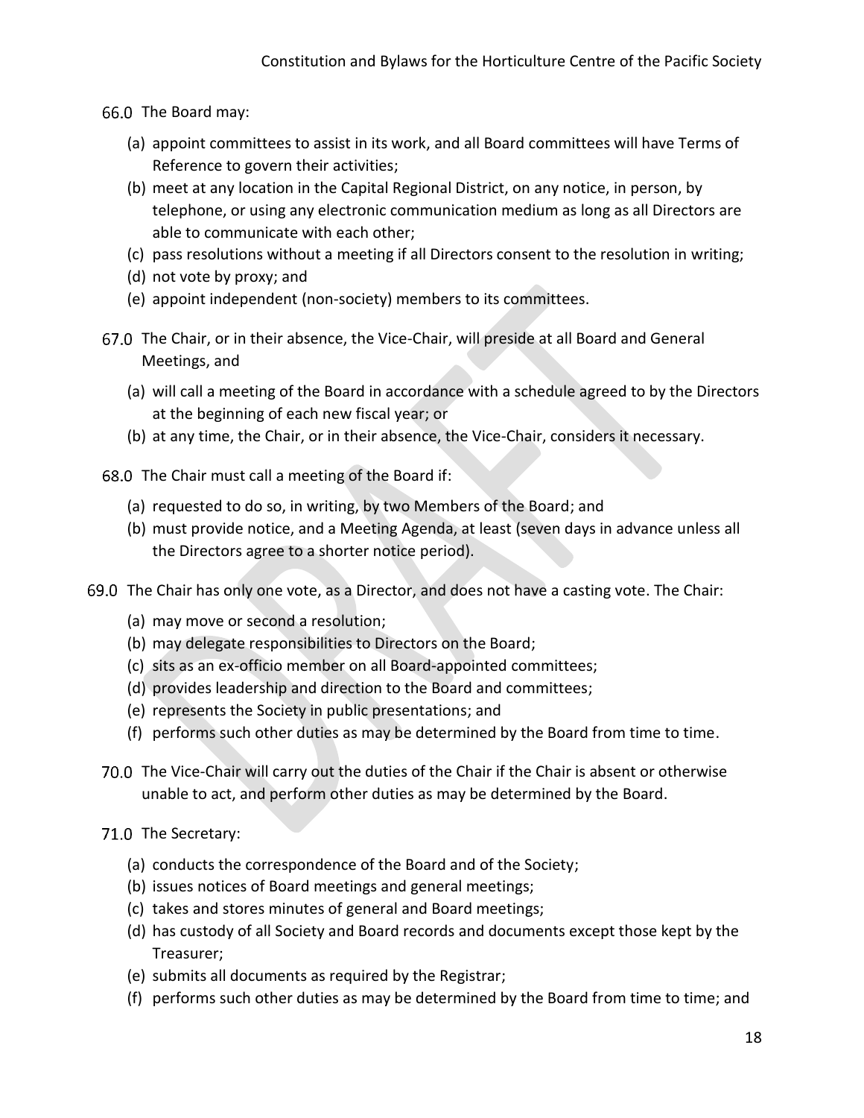- 66.0 The Board may:
	- (a) appoint committees to assist in its work, and all Board committees will have Terms of Reference to govern their activities;
	- (b) meet at any location in the Capital Regional District, on any notice, in person, by telephone, or using any electronic communication medium as long as all Directors are able to communicate with each other;
	- (c) pass resolutions without a meeting if all Directors consent to the resolution in writing;
	- (d) not vote by proxy; and
	- (e) appoint independent (non-society) members to its committees.
- 67.0 The Chair, or in their absence, the Vice-Chair, will preside at all Board and General Meetings, and
	- (a) will call a meeting of the Board in accordance with a schedule agreed to by the Directors at the beginning of each new fiscal year; or
	- (b) at any time, the Chair, or in their absence, the Vice-Chair, considers it necessary.
- 68.0 The Chair must call a meeting of the Board if:
	- (a) requested to do so, in writing, by two Members of the Board; and
	- (b) must provide notice, and a Meeting Agenda, at least (seven days in advance unless all the Directors agree to a shorter notice period).
- 69.0 The Chair has only one vote, as a Director, and does not have a casting vote. The Chair:
	- (a) may move or second a resolution;
	- (b) may delegate responsibilities to Directors on the Board;
	- (c) sits as an ex-officio member on all Board-appointed committees;
	- (d) provides leadership and direction to the Board and committees;
	- (e) represents the Society in public presentations; and
	- (f) performs such other duties as may be determined by the Board from time to time.
	- 70.0 The Vice-Chair will carry out the duties of the Chair if the Chair is absent or otherwise unable to act, and perform other duties as may be determined by the Board.
	- 71.0 The Secretary:
		- (a) conducts the correspondence of the Board and of the Society;
		- (b) issues notices of Board meetings and general meetings;
		- (c) takes and stores minutes of general and Board meetings;
		- (d) has custody of all Society and Board records and documents except those kept by the Treasurer;
		- (e) submits all documents as required by the Registrar;
		- (f) performs such other duties as may be determined by the Board from time to time; and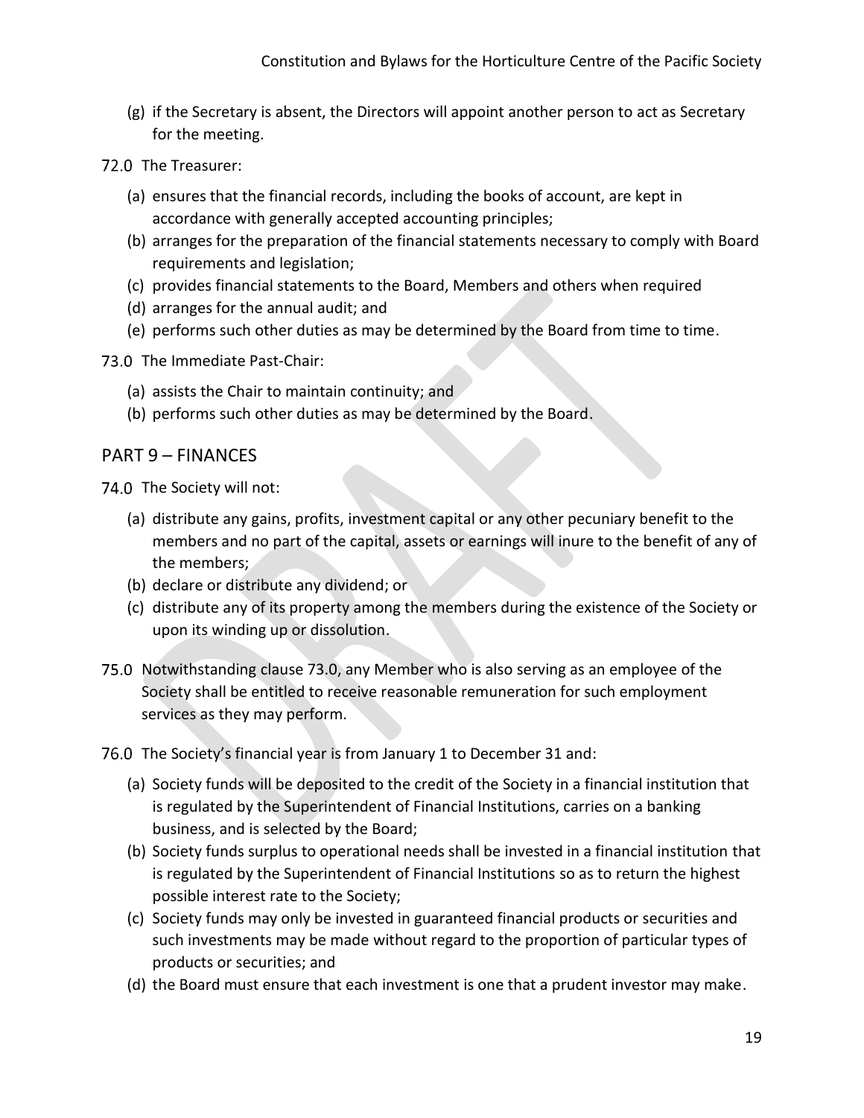- (g) if the Secretary is absent, the Directors will appoint another person to act as Secretary for the meeting.
- 72.0 The Treasurer:
	- (a) ensures that the financial records, including the books of account, are kept in accordance with generally accepted accounting principles;
	- (b) arranges for the preparation of the financial statements necessary to comply with Board requirements and legislation;
	- (c) provides financial statements to the Board, Members and others when required
	- (d) arranges for the annual audit; and
	- (e) performs such other duties as may be determined by the Board from time to time.
- 73.0 The Immediate Past-Chair:
	- (a) assists the Chair to maintain continuity; and
	- (b) performs such other duties as may be determined by the Board.

#### <span id="page-19-0"></span>PART 9 – FINANCES

74.0 The Society will not:

- (a) distribute any gains, profits, investment capital or any other pecuniary benefit to the members and no part of the capital, assets or earnings will inure to the benefit of any of the members;
- (b) declare or distribute any dividend; or
- (c) distribute any of its property among the members during the existence of the Society or upon its winding up or dissolution.
- 75.0 Notwithstanding clause 73.0, any Member who is also serving as an employee of the Society shall be entitled to receive reasonable remuneration for such employment services as they may perform.
- 76.0 The Society's financial year is from January 1 to December 31 and:
	- (a) Society funds will be deposited to the credit of the Society in a financial institution that is regulated by the Superintendent of Financial Institutions, carries on a banking business, and is selected by the Board;
	- (b) Society funds surplus to operational needs shall be invested in a financial institution that is regulated by the Superintendent of Financial Institutions so as to return the highest possible interest rate to the Society;
	- (c) Society funds may only be invested in guaranteed financial products or securities and such investments may be made without regard to the proportion of particular types of products or securities; and
	- (d) the Board must ensure that each investment is one that a prudent investor may make.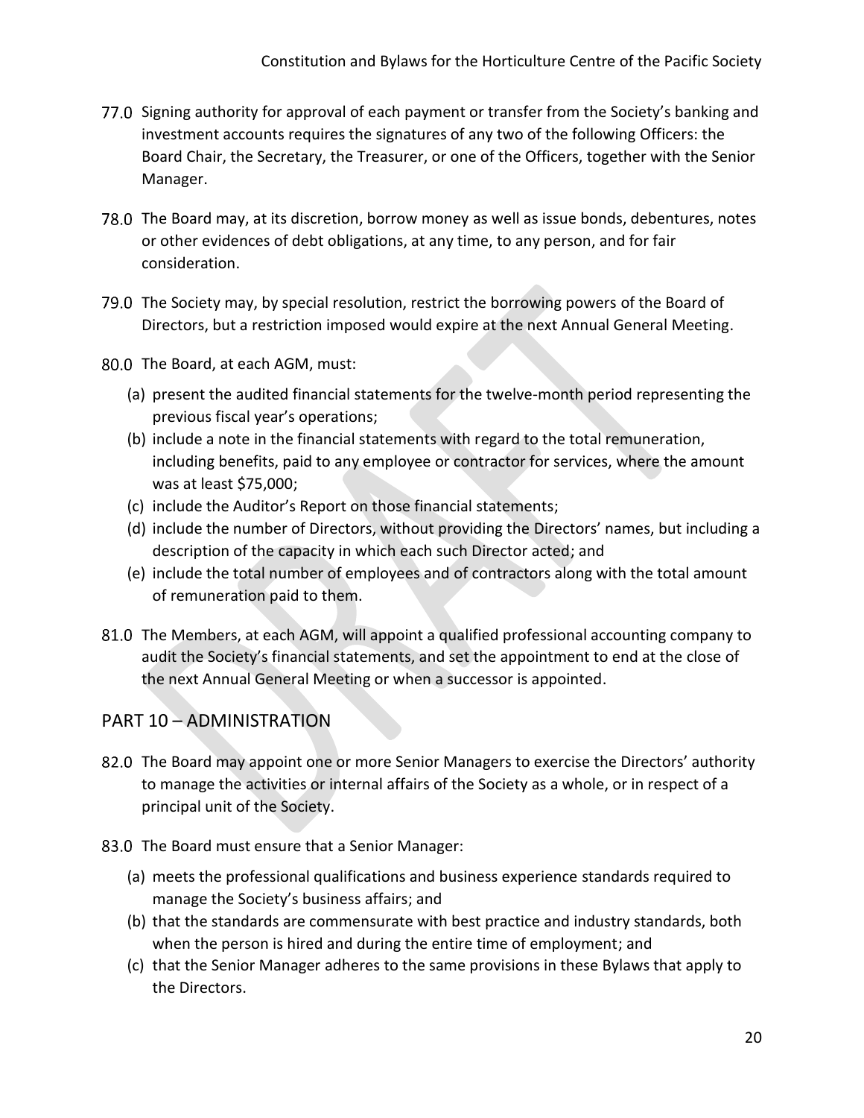- 77.0 Signing authority for approval of each payment or transfer from the Society's banking and investment accounts requires the signatures of any two of the following Officers: the Board Chair, the Secretary, the Treasurer, or one of the Officers, together with the Senior Manager.
- 78.0 The Board may, at its discretion, borrow money as well as issue bonds, debentures, notes or other evidences of debt obligations, at any time, to any person, and for fair consideration.
- 79.0 The Society may, by special resolution, restrict the borrowing powers of the Board of Directors, but a restriction imposed would expire at the next Annual General Meeting.
- 80.0 The Board, at each AGM, must:
	- (a) present the audited financial statements for the twelve-month period representing the previous fiscal year's operations;
	- (b) include a note in the financial statements with regard to the total remuneration, including benefits, paid to any employee or contractor for services, where the amount was at least \$75,000;
	- (c) include the Auditor's Report on those financial statements;
	- (d) include the number of Directors, without providing the Directors' names, but including a description of the capacity in which each such Director acted; and
	- (e) include the total number of employees and of contractors along with the total amount of remuneration paid to them.
- 81.0 The Members, at each AGM, will appoint a qualified professional accounting company to audit the Society's financial statements, and set the appointment to end at the close of the next Annual General Meeting or when a successor is appointed.

## <span id="page-20-0"></span>PART 10 – ADMINISTRATION

- 82.0 The Board may appoint one or more Senior Managers to exercise the Directors' authority to manage the activities or internal affairs of the Society as a whole, or in respect of a principal unit of the Society.
- 83.0 The Board must ensure that a Senior Manager:
	- (a) meets the professional qualifications and business experience standards required to manage the Society's business affairs; and
	- (b) that the standards are commensurate with best practice and industry standards, both when the person is hired and during the entire time of employment; and
	- (c) that the Senior Manager adheres to the same provisions in these Bylaws that apply to the Directors.